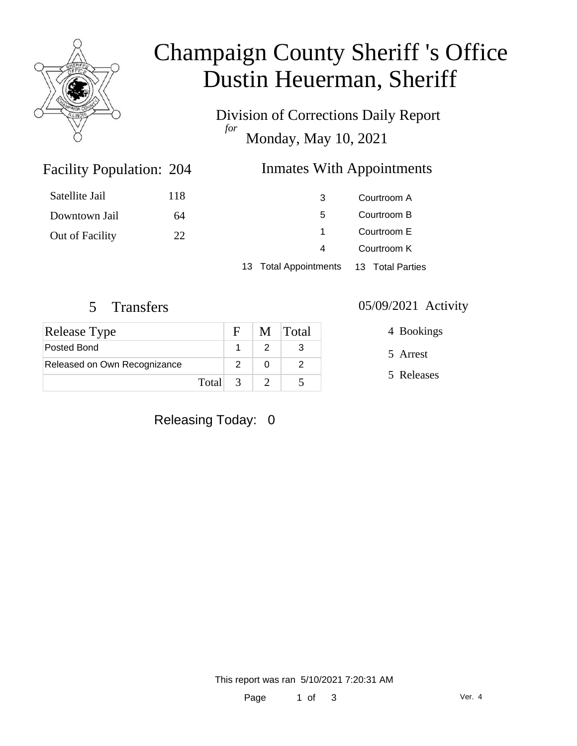

# Champaign County Sheriff 's Office Dustin Heuerman, Sheriff

Division of Corrections Daily Report *for* Monday, May 10, 2021

### Inmates With Appointments

| Satellite Jail  | 118 | 3                     | Courtroom A                |  |
|-----------------|-----|-----------------------|----------------------------|--|
| Downtown Jail   | 64  | 5                     | Courtroom B                |  |
| Out of Facility | 22  |                       | Courtroom E<br>Courtroom K |  |
|                 |     | 4                     |                            |  |
|                 |     | 13 Total Appointments | 13 Total Parties           |  |

Facility Population:

| <b>Release Type</b>          |         | F | M Total |
|------------------------------|---------|---|---------|
| Posted Bond                  |         |   |         |
| Released on Own Recognizance |         |   |         |
|                              | Total 3 |   |         |

### Releasing Today: 0

#### 5 Transfers 05/09/2021 Activity

4 Bookings

5 Arrest

5 Releases

This report was ran 5/10/2021 7:20:31 AM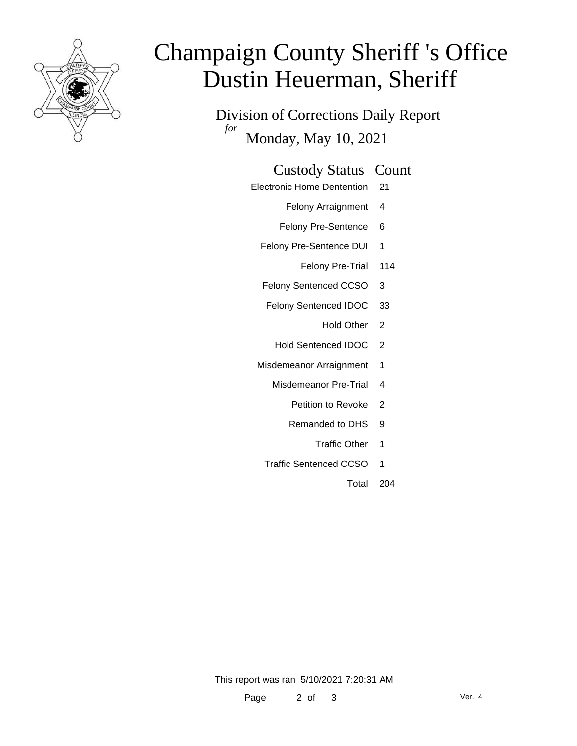

# Champaign County Sheriff 's Office Dustin Heuerman, Sheriff

Division of Corrections Daily Report *for* Monday, May 10, 2021

#### Custody Status Count

- Electronic Home Dentention 21
	- Felony Arraignment 4
	- Felony Pre-Sentence 6
	- Felony Pre-Sentence DUI 1
		- Felony Pre-Trial 114
	- Felony Sentenced CCSO 3
	- Felony Sentenced IDOC 33
		- Hold Other 2
		- Hold Sentenced IDOC 2
	- Misdemeanor Arraignment 1
		- Misdemeanor Pre-Trial 4
			- Petition to Revoke 2
			- Remanded to DHS 9
				- Traffic Other 1
		- Traffic Sentenced CCSO 1
			- Total 204

This report was ran 5/10/2021 7:20:31 AM